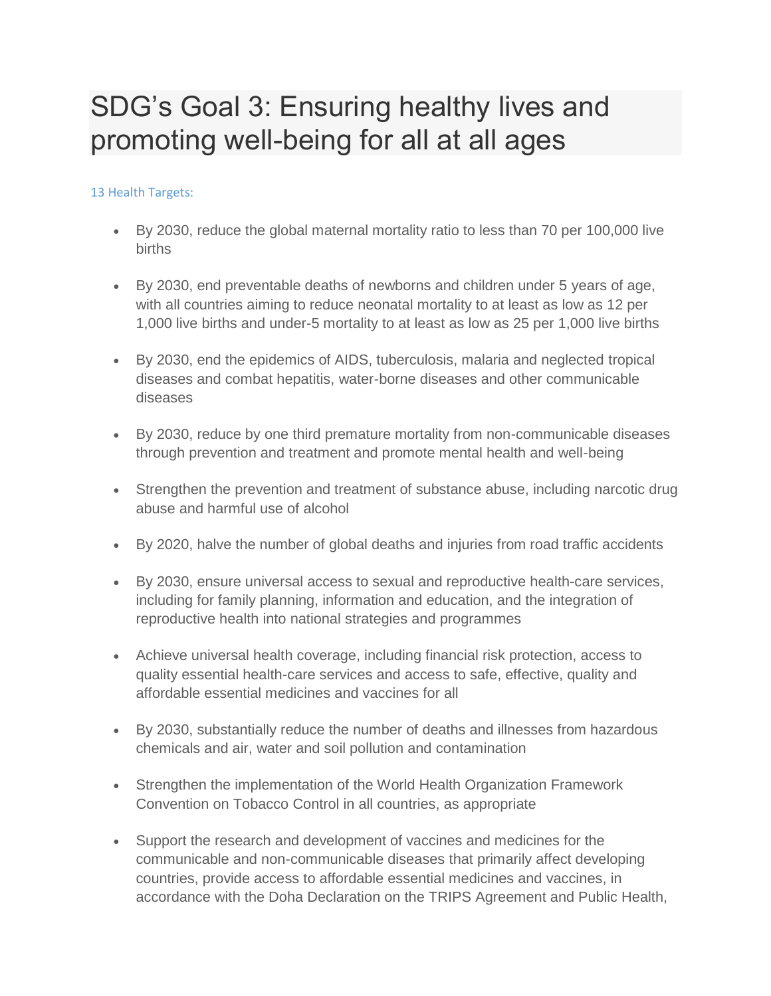## SDG's Goal 3: Ensuring healthy lives and promoting well-being for all at all ages

## 13 Health Targets:

- By 2030, reduce the global maternal mortality ratio to less than 70 per 100,000 live births
- By 2030, end preventable deaths of newborns and children under 5 years of age, with all countries aiming to reduce neonatal mortality to at least as low as 12 per 1,000 live births and under-5 mortality to at least as low as 25 per 1,000 live births
- By 2030, end the epidemics of AIDS, tuberculosis, malaria and neglected tropical diseases and combat hepatitis, water-borne diseases and other communicable diseases
- By 2030, reduce by one third premature mortality from non-communicable diseases through prevention and treatment and promote mental health and well-being
- Strengthen the prevention and treatment of substance abuse, including narcotic drug abuse and harmful use of alcohol
- By 2020, halve the number of global deaths and injuries from road traffic accidents
- By 2030, ensure universal access to sexual and reproductive health-care services, including for family planning, information and education, and the integration of reproductive health into national strategies and programmes
- Achieve universal health coverage, including financial risk protection, access to quality essential health-care services and access to safe, effective, quality and affordable essential medicines and vaccines for all
- By 2030, substantially reduce the number of deaths and illnesses from hazardous chemicals and air, water and soil pollution and contamination
- Strengthen the implementation of the World Health Organization Framework Convention on Tobacco Control in all countries, as appropriate
- Support the research and development of vaccines and medicines for the communicable and non-communicable diseases that primarily affect developing countries, provide access to affordable essential medicines and vaccines, in accordance with the Doha Declaration on the TRIPS Agreement and Public Health,